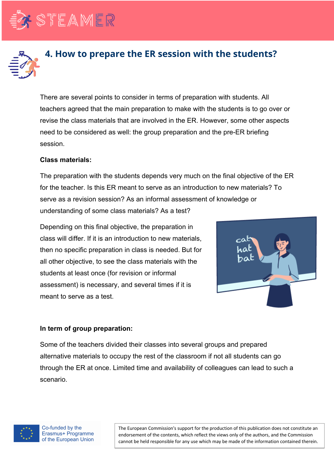



## **4. How to prepare the ER session with the students?**

There are several points to consider in terms of preparation with students. All teachers agreed that the main preparation to make with the students is to go over or revise the class materials that are involved in the ER. However, some other aspects need to be considered as well: the group preparation and the pre-ER briefing session.

## **Class materials:**

The preparation with the students depends very much on the final objective of the ER for the teacher. Is this ER meant to serve as an introduction to new materials? To serve as a revision session? As an informal assessment of knowledge or understanding of some class materials? As a test?

Depending on this final objective, the preparation in class will differ. If it is an introduction to new materials, then no specific preparation in class is needed. But for all other objective, to see the class materials with the students at least once (for revision or informal assessment) is necessary, and several times if it is meant to serve as a test.



## **In term of group preparation:**

Some of the teachers divided their classes into several groups and prepared alternative materials to occupy the rest of the classroom if not all students can go through the ER at once. Limited time and availability of colleagues can lead to such a scenario.



The European Commission's support for the production of this publication does not constitute an endorsement of the contents, which reflect the views only of the authors, and the Commission cannot be held responsible for any use which may be made of the information contained therein.